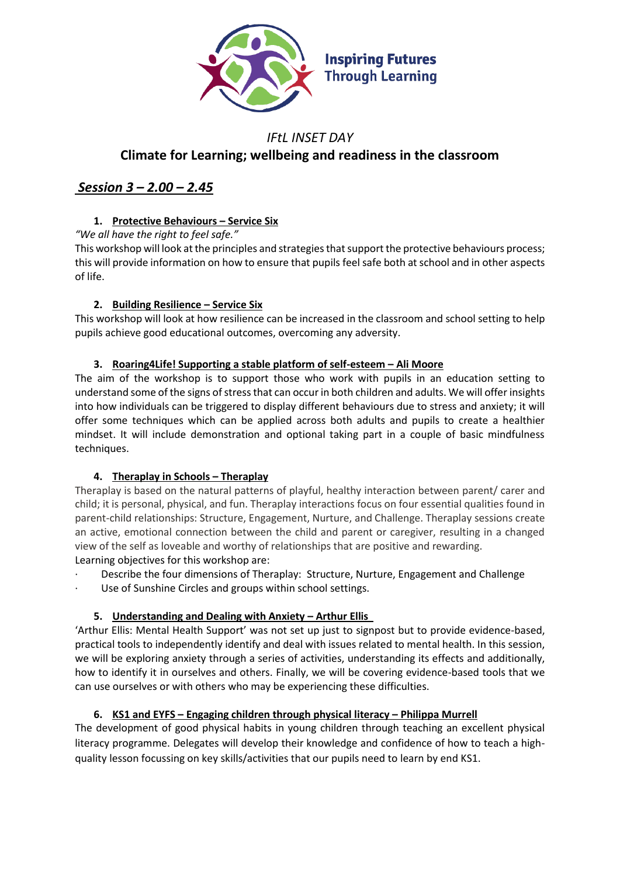

# *IFtL INSET DAY* **Climate for Learning; wellbeing and readiness in the classroom**

# *Session 3 – 2.00 – 2.45*

## **1. Protective Behaviours – Service Six**

*"We all have the right to feel safe."*

This workshop will look at the principles and strategies that support the protective behaviours process; this will provide information on how to ensure that pupils feel safe both at school and in other aspects of life.

## **2. Building Resilience – Service Six**

This workshop will look at how resilience can be increased in the classroom and school setting to help pupils achieve good educational outcomes, overcoming any adversity.

### **3. Roaring4Life! Supporting a stable platform of self-esteem – Ali Moore**

The aim of the workshop is to support those who work with pupils in an education setting to understand some of the signs of stress that can occur in both children and adults. We will offer insights into how individuals can be triggered to display different behaviours due to stress and anxiety; it will offer some techniques which can be applied across both adults and pupils to create a healthier mindset. It will include demonstration and optional taking part in a couple of basic mindfulness techniques.

### **4. Theraplay in Schools – Theraplay**

Theraplay is based on the natural patterns of playful, healthy interaction between parent/ carer and child; it is personal, physical, and fun. Theraplay interactions focus on four essential qualities found in parent-child relationships: Structure, Engagement, Nurture, and Challenge. Theraplay sessions create an active, emotional connection between the child and parent or caregiver, resulting in a changed view of the self as loveable and worthy of relationships that are positive and rewarding. Learning objectives for this workshop are:

- Describe the four dimensions of Theraplay: Structure, Nurture, Engagement and Challenge
- Use of Sunshine Circles and groups within school settings.

## **5. Understanding and Dealing with Anxiety – Arthur Ellis**

'Arthur Ellis: Mental Health Support' was not set up just to signpost but to provide evidence-based, practical tools to independently identify and deal with issues related to mental health. In this session, we will be exploring anxiety through a series of activities, understanding its effects and additionally, how to identify it in ourselves and others. Finally, we will be covering evidence-based tools that we can use ourselves or with others who may be experiencing these difficulties.

## **6. KS1 and EYFS – Engaging children through physical literacy – Philippa Murrell**

The development of good physical habits in young children through teaching an excellent physical literacy programme. Delegates will develop their knowledge and confidence of how to teach a highquality lesson focussing on key skills/activities that our pupils need to learn by end KS1.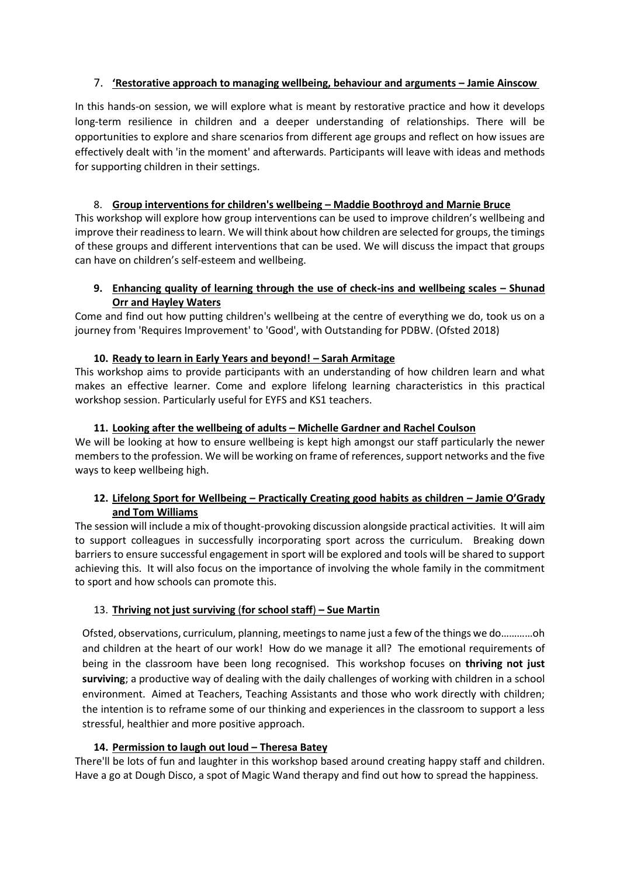#### 7. **'Restorative approach to managing wellbeing, behaviour and arguments – Jamie Ainscow**

In this hands-on session, we will explore what is meant by restorative practice and how it develops long-term resilience in children and a deeper understanding of relationships. There will be opportunities to explore and share scenarios from different age groups and reflect on how issues are effectively dealt with 'in the moment' and afterwards. Participants will leave with ideas and methods for supporting children in their settings.

#### 8. **Group interventions for children's wellbeing – Maddie Boothroyd and Marnie Bruce**

This workshop will explore how group interventions can be used to improve children's wellbeing and improve their readiness to learn. We will think about how children are selected for groups, the timings of these groups and different interventions that can be used. We will discuss the impact that groups can have on children's self-esteem and wellbeing.

#### **9. Enhancing quality of learning through the use of check-ins and wellbeing scales – Shunad Orr and Hayley Waters**

Come and find out how putting children's wellbeing at the centre of everything we do, took us on a journey from 'Requires Improvement' to 'Good', with Outstanding for PDBW. (Ofsted 2018)

#### **10. Ready to learn in Early Years and beyond! – Sarah Armitage**

This workshop aims to provide participants with an understanding of how children learn and what makes an effective learner. Come and explore lifelong learning characteristics in this practical workshop session. Particularly useful for EYFS and KS1 teachers.

#### **11. Looking after the wellbeing of adults – Michelle Gardner and Rachel Coulson**

We will be looking at how to ensure wellbeing is kept high amongst our staff particularly the newer members to the profession. We will be working on frame of references, support networks and the five ways to keep wellbeing high.

#### **12. Lifelong Sport for Wellbeing – Practically Creating good habits as children – Jamie O'Grady and Tom Williams**

The session will include a mix of thought-provoking discussion alongside practical activities. It will aim to support colleagues in successfully incorporating sport across the curriculum. Breaking down barriers to ensure successful engagement in sport will be explored and tools will be shared to support achieving this. It will also focus on the importance of involving the whole family in the commitment to sport and how schools can promote this.

#### 13. **Thriving not just surviving** (**for school staff**) **– Sue Martin**

Ofsted, observations, curriculum, planning, meetings to name just a few of the things we do…………oh and children at the heart of our work! How do we manage it all? The emotional requirements of being in the classroom have been long recognised. This workshop focuses on **thriving not just surviving**; a productive way of dealing with the daily challenges of working with children in a school environment. Aimed at Teachers, Teaching Assistants and those who work directly with children; the intention is to reframe some of our thinking and experiences in the classroom to support a less stressful, healthier and more positive approach.

#### **14. Permission to laugh out loud – Theresa Batey**

There'll be lots of fun and laughter in this workshop based around creating happy staff and children. Have a go at Dough Disco, a spot of Magic Wand therapy and find out how to spread the happiness.